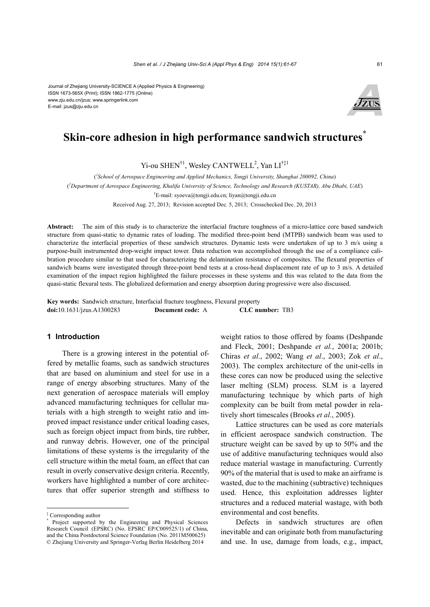Journal of Zhejiang University-SCIENCE A (Applied Physics & Engineering) ISSN 1673-565X (Print); ISSN 1862-1775 (Online) www.zju.edu.cn/jzus; www.springerlink.com E-mail: jzus@zju.edu.cn



## **Skin-core adhesion in high performance sandwich structures**<sup>†</sup>

 $Yi$ -ou SHEN<sup>†1</sup>, Wesley CANTWELL<sup>2</sup>, Yan LI<sup>†‡1</sup>

( *1 School of Aerospace Engineering and Applied Mechanics, Tongji University, Shanghai 200092, China*)

( *2 Department of Aerospace Engineering, Khalifa University of Science, Technology and Research (KUSTAR), Abu Dhabi, UAE*)

† E-mail: syoeva@tongji.edu.cn; liyan@tongji.edu.cn

Received Aug. 27, 2013; Revision accepted Dec. 5, 2013; Crosschecked Dec. 20, 2013

**Abstract:** The aim of this study is to characterize the interfacial fracture toughness of a micro-lattice core based sandwich structure from quasi-static to dynamic rates of loading. The modified three-point bend (MTPB) sandwich beam was used to characterize the interfacial properties of these sandwich structures. Dynamic tests were undertaken of up to 3 m/s using a purpose-built instrumented drop-weight impact tower. Data reduction was accomplished through the use of a compliance calibration procedure similar to that used for characterizing the delamination resistance of composites. The flexural properties of sandwich beams were investigated through three-point bend tests at a cross-head displacement rate of up to 3 m/s. A detailed examination of the impact region highlighted the failure processes in these systems and this was related to the data from the quasi-static flexural tests. The globalized deformation and energy absorption during progressive were also discussed.

**Key words:** Sandwich structure, Interfacial fracture toughness, Flexural property **doi:**10.1631/jzus.A1300283 **Document code:** A **CLC number:** TB3

### **1 Introduction**

There is a growing interest in the potential offered by metallic foams, such as sandwich structures that are based on aluminium and steel for use in a range of energy absorbing structures. Many of the next generation of aerospace materials will employ advanced manufacturing techniques for cellular materials with a high strength to weight ratio and improved impact resistance under critical loading cases, such as foreign object impact from birds, tire rubber, and runway debris. However, one of the principal limitations of these systems is the irregularity of the cell structure within the metal foam, an effect that can result in overly conservative design criteria. Recently, workers have highlighted a number of core architectures that offer superior strength and stiffness to

weight ratios to those offered by foams (Deshpande and Fleck, 2001; Deshpande *et al.*, 2001a; 2001b; Chiras *et al*., 2002; Wang *et al*., 2003; Zok *et al*., 2003). The complex architecture of the unit-cells in these cores can now be produced using the selective laser melting (SLM) process. SLM is a layered manufacturing technique by which parts of high complexity can be built from metal powder in relatively short timescales (Brooks *et al.*, 2005).

Lattice structures can be used as core materials in efficient aerospace sandwich construction. The structure weight can be saved by up to 50% and the use of additive manufacturing techniques would also reduce material wastage in manufacturing. Currently 90% of the material that is used to make an airframe is wasted, due to the machining (subtractive) techniques used. Hence, this exploitation addresses lighter structures and a reduced material wastage, with both environmental and cost benefits.

Defects in sandwich structures are often inevitable and can originate both from manufacturing and use. In use, damage from loads, e.g., impact,

<sup>‡</sup> Corresponding author

<sup>\*</sup> Project supported by the Engineering and Physical Sciences Research Council (EPSRC) (No. EPSRC EP/C009525/1) of China, and the China Postdoctoral Science Foundation (No. 2011M500625) © Zhejiang University and Springer-Verlag Berlin Heidelberg 2014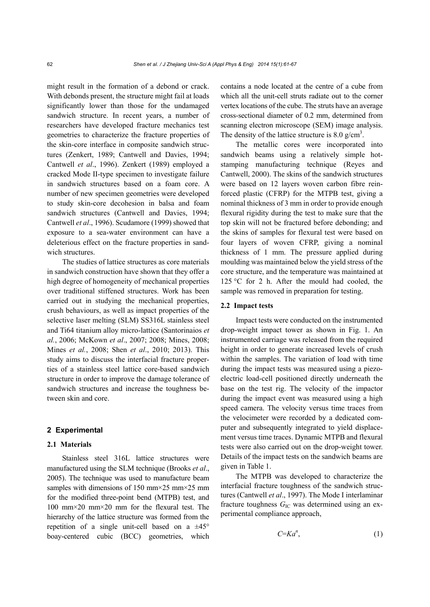might result in the formation of a debond or crack. With debonds present, the structure might fail at loads significantly lower than those for the undamaged sandwich structure. In recent years, a number of researchers have developed fracture mechanics test geometries to characterize the fracture properties of the skin-core interface in composite sandwich structures (Zenkert, 1989; Cantwell and Davies, 1994; Cantwell *et al*., 1996). Zenkert (1989) employed a cracked Mode II-type specimen to investigate failure in sandwich structures based on a foam core. A number of new specimen geometries were developed to study skin-core decohesion in balsa and foam sandwich structures (Cantwell and Davies, 1994; Cantwell *et al*., 1996). Scudamore (1999) showed that exposure to a sea-water environment can have a deleterious effect on the fracture properties in sandwich structures.

The studies of lattice structures as core materials in sandwich construction have shown that they offer a high degree of homogeneity of mechanical properties over traditional stiffened structures. Work has been carried out in studying the mechanical properties, crush behaviours, as well as impact properties of the selective laser melting (SLM) SS316L stainless steel and Ti64 titanium alloy micro-lattice (Santorinaios *et al.*, 2006; McKown *et al*., 2007; 2008; Mines, 2008; Mines *et al.*, 2008; Shen *et al*., 2010; 2013). This study aims to discuss the interfacial fracture properties of a stainless steel lattice core-based sandwich structure in order to improve the damage tolerance of sandwich structures and increase the toughness between skin and core.

#### **2 Experimental**

#### **2.1 Materials**

Stainless steel 316L lattice structures were manufactured using the SLM technique (Brooks *et al*., 2005). The technique was used to manufacture beam samples with dimensions of 150 mm $\times$ 25 mm $\times$ 25 mm for the modified three-point bend (MTPB) test, and 100 mm×20 mm×20 mm for the flexural test. The hierarchy of the lattice structure was formed from the repetition of a single unit-cell based on a  $\pm 45^{\circ}$ boay-centered cubic (BCC) geometries, which

contains a node located at the centre of a cube from which all the unit-cell struts radiate out to the corner vertex locations of the cube. The struts have an average cross-sectional diameter of 0.2 mm, determined from scanning electron microscope (SEM) image analysis. The density of the lattice structure is  $8.0 \text{ g/cm}^3$ .

The metallic cores were incorporated into sandwich beams using a relatively simple hotstamping manufacturing technique (Reyes and Cantwell, 2000). The skins of the sandwich structures were based on 12 layers woven carbon fibre reinforced plastic (CFRP) for the MTPB test, giving a nominal thickness of 3 mm in order to provide enough flexural rigidity during the test to make sure that the top skin will not be fractured before debonding; and the skins of samples for flexural test were based on four layers of woven CFRP, giving a nominal thickness of 1 mm. The pressure applied during moulding was maintained below the yield stress of the core structure, and the temperature was maintained at 125 °C for 2 h. After the mould had cooled, the sample was removed in preparation for testing.

#### **2.2 Impact tests**

Impact tests were conducted on the instrumented drop-weight impact tower as shown in Fig. 1. An instrumented carriage was released from the required height in order to generate increased levels of crush within the samples. The variation of load with time during the impact tests was measured using a piezoelectric load-cell positioned directly underneath the base on the test rig. The velocity of the impactor during the impact event was measured using a high speed camera. The velocity versus time traces from the velocimeter were recorded by a dedicated computer and subsequently integrated to yield displacement versus time traces. Dynamic MTPB and flexural tests were also carried out on the drop-weight tower. Details of the impact tests on the sandwich beams are given in Table 1.

The MTPB was developed to characterize the interfacial fracture toughness of the sandwich structures (Cantwell *et al*., 1997). The Mode I interlaminar fracture toughness  $G_{\text{IC}}$  was determined using an experimental compliance approach,

$$
C=\mathbf{K}a^n,\tag{1}
$$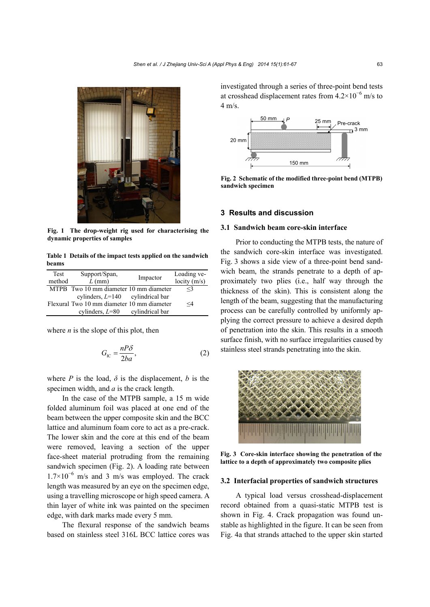

**Fig. 1 The drop-weight rig used for characterising the dynamic properties of samples**

**Table 1 Details of the impact tests applied on the sandwich beams**

| Test<br>method | Support/Span,<br>$L$ (mm)                  | Impactor        | Loading ve-<br>locity $(m/s)$ |
|----------------|--------------------------------------------|-----------------|-------------------------------|
|                | MTPB Two 10 mm diameter 10 mm diameter     |                 | $\leq$ 3                      |
|                | cylinders, $L=140$ cylindrical bar         |                 |                               |
|                | Flexural Two 10 mm diameter 10 mm diameter |                 | $\leq 4$                      |
|                | cylinders, $L=80$                          | cylindrical bar |                               |

where *n* is the slope of this plot, then

$$
G_{\rm IC} = \frac{nP\delta}{2ba},\tag{2}
$$

where *P* is the load,  $\delta$  is the displacement, *b* is the specimen width, and *a* is the crack length.

In the case of the MTPB sample, a 15 m wide folded aluminum foil was placed at one end of the beam between the upper composite skin and the BCC lattice and aluminum foam core to act as a pre-crack. The lower skin and the core at this end of the beam were removed, leaving a section of the upper face-sheet material protruding from the remaining sandwich specimen (Fig. 2). A loading rate between 1.7×10<sup>−</sup><sup>6</sup> m/s and 3 m/s was employed. The crack length was measured by an eye on the specimen edge, using a travelling microscope or high speed camera. A thin layer of white ink was painted on the specimen edge, with dark marks made every 5 mm.

The flexural response of the sandwich beams based on stainless steel 316L BCC lattice cores was investigated through a series of three-point bend tests at crosshead displacement rates from  $4.2 \times 10^{-6}$  m/s to  $4 \text{ m/s}$ 



**Fig. 2 Schematic of the modified three-point bend (MTPB) sandwich specimen**

#### **3 Results and discussion**

#### **3.1 Sandwich beam core-skin interface**

Prior to conducting the MTPB tests, the nature of the sandwich core-skin interface was investigated. Fig. 3 shows a side view of a three-point bend sandwich beam, the strands penetrate to a depth of approximately two plies (i.e., half way through the thickness of the skin). This is consistent along the length of the beam, suggesting that the manufacturing process can be carefully controlled by uniformly applying the correct pressure to achieve a desired depth of penetration into the skin. This results in a smooth surface finish, with no surface irregularities caused by stainless steel strands penetrating into the skin.



**Fig. 3 Core-skin interface showing the penetration of the lattice to a depth of approximately two composite plies**

#### **3.2 Interfacial properties of sandwich structures**

A typical load versus crosshead-displacement record obtained from a quasi-static MTPB test is shown in Fig. 4. Crack propagation was found unstable as highlighted in the figure. It can be seen from Fig. 4a that strands attached to the upper skin started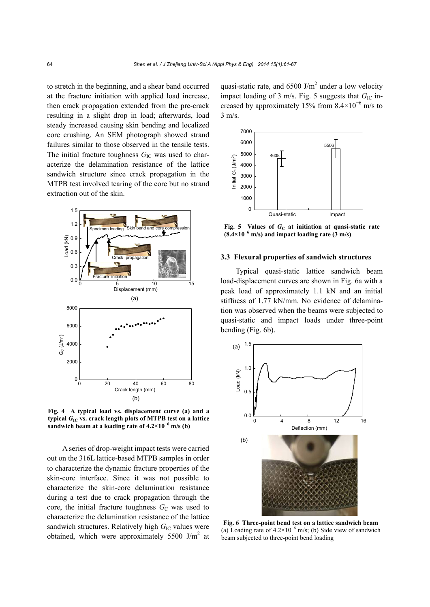to stretch in the beginning, and a shear band occurred at the fracture initiation with applied load increase, then crack propagation extended from the pre-crack resulting in a slight drop in load; afterwards, load steady increased causing skin bending and localized core crushing. An SEM photograph showed strand failures similar to those observed in the tensile tests. The initial fracture toughness  $G_{\text{IC}}$  was used to characterize the delamination resistance of the lattice sandwich structure since crack propagation in the MTPB test involved tearing of the core but no strand extraction out of the skin.



**Fig. 4 A typical load vs. displacement curve (a) and a typical** *G***IC vs. crack length plots of MTPB test on a lattice sandwich beam at a loading rate of**  $4.2 \times 10^{-6}$  **m/s (b)** 

A series of drop-weight impact tests were carried out on the 316L lattice-based MTPB samples in order to characterize the dynamic fracture properties of the skin-core interface. Since it was not possible to characterize the skin-core delamination resistance during a test due to crack propagation through the core, the initial fracture toughness  $G<sub>C</sub>$  was used to characterize the delamination resistance of the lattice sandwich structures. Relatively high *G*<sub>IC</sub> values were obtained, which were approximately  $5500$  J/m<sup>2</sup> at

quasi-static rate, and  $6500$  J/m<sup>2</sup> under a low velocity impact loading of 3 m/s. Fig. 5 suggests that  $G_{\text{IC}}$  increased by approximately 15% from  $8.4 \times 10^{-6}$  m/s to 3 m/s.



**Fig. 5** Values of  $G_C$  at initiation at quasi-static rate **(8.4×10<sup>−</sup><sup>6</sup> m/s) and impact loading rate (3 m/s)**

#### **3.3 Flexural properties of sandwich structures**

Typical quasi-static lattice sandwich beam load-displacement curves are shown in Fig. 6a with a peak load of approximately 1.1 kN and an initial stiffness of 1.77 kN/mm. No evidence of delamination was observed when the beams were subjected to quasi-static and impact loads under three-point bending (Fig. 6b).



**Fig. 6 Three-point bend test on a lattice sandwich beam**  (a) Loading rate of  $4.2 \times 10^{-6}$  m/s; (b) Side view of sandwich beam subjected to three-point bend loading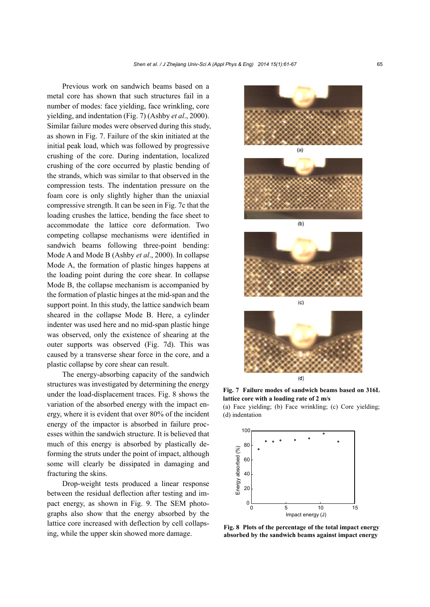Previous work on sandwich beams based on a metal core has shown that such structures fail in a number of modes: face yielding, face wrinkling, core yielding, and indentation (Fig. 7) (Ashby *et al*., 2000). Similar failure modes were observed during this study, as shown in Fig. 7. Failure of the skin initiated at the initial peak load, which was followed by progressive crushing of the core. During indentation, localized crushing of the core occurred by plastic bending of the strands, which was similar to that observed in the compression tests. The indentation pressure on the foam core is only slightly higher than the uniaxial compressive strength. It can be seen in Fig. 7c that the loading crushes the lattice, bending the face sheet to accommodate the lattice core deformation. Two competing collapse mechanisms were identified in sandwich beams following three-point bending: Mode A and Mode B (Ashby *et al*., 2000). In collapse Mode A, the formation of plastic hinges happens at the loading point during the core shear. In collapse Mode B, the collapse mechanism is accompanied by the formation of plastic hinges at the mid-span and the support point. In this study, the lattice sandwich beam sheared in the collapse Mode B. Here, a cylinder indenter was used here and no mid-span plastic hinge was observed, only the existence of shearing at the outer supports was observed (Fig. 7d). This was caused by a transverse shear force in the core, and a plastic collapse by core shear can result.

The energy-absorbing capacity of the sandwich structures was investigated by determining the energy under the load-displacement traces. Fig. 8 shows the variation of the absorbed energy with the impact energy, where it is evident that over 80% of the incident energy of the impactor is absorbed in failure processes within the sandwich structure. It is believed that much of this energy is absorbed by plastically deforming the struts under the point of impact, although some will clearly be dissipated in damaging and fracturing the skins.

Drop-weight tests produced a linear response between the residual deflection after testing and impact energy, as shown in Fig. 9. The SEM photographs also show that the energy absorbed by the lattice core increased with deflection by cell collapsing, while the upper skin showed more damage.



**Fig. 7 Failure modes of sandwich beams based on 316L lattice core with a loading rate of 2 m/s** 

(a) Face yielding; (b) Face wrinkling; (c) Core yielding; (d) indentation



**Fig. 8 Plots of the percentage of the total impact energy absorbed by the sandwich beams against impact energy**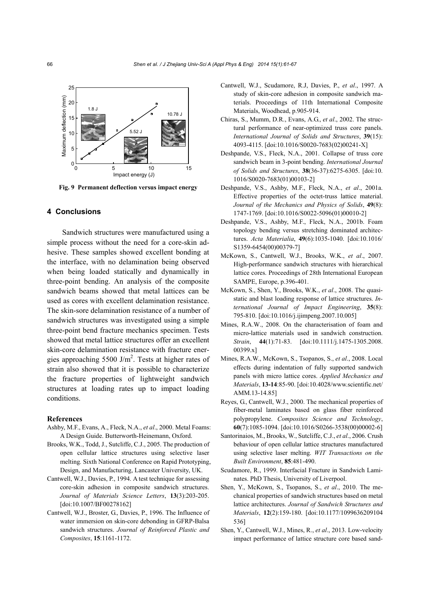

**Fig. 9 Permanent deflection versus impact energy**

#### **4 Conclusions**

Sandwich structures were manufactured using a simple process without the need for a core-skin adhesive. These samples showed excellent bonding at the interface, with no delamination being observed when being loaded statically and dynamically in three-point bending. An analysis of the composite sandwich beams showed that metal lattices can be used as cores with excellent delamination resistance. The skin-sore delamination resistance of a number of sandwich structures was investigated using a simple three-point bend fracture mechanics specimen. Tests showed that metal lattice structures offer an excellent skin-core delamination resistance with fracture energies approaching  $5500$  J/m<sup>2</sup>. Tests at higher rates of strain also showed that it is possible to characterize the fracture properties of lightweight sandwich structures at loading rates up to impact loading conditions.

#### **References**

- Ashby, M.F., Evans, A., Fleck, N.A., *et al*., 2000. Metal Foams: A Design Guide. Butterworth-Heinemann, Oxford.
- Brooks, W.K., Todd, J., Sutcliffe, C.J., 2005. The production of open cellular lattice structures using selective laser melting*.* Sixth National Conference on Rapid Prototyping, Design, and Manufacturing, Lancaster University, UK.
- Cantwell, W.J., Davies, P., 1994. A test technique for assessing core-skin adhesion in composite sandwich structures. *Journal of Materials Science Letters*, **13**(3):203-205. [doi:10.1007/BF00278162]
- Cantwell, W.J., Broster, G., Davies, P., 1996. The Influence of water immersion on skin-core debonding in GFRP-Balsa sandwich structures. *Journal of Reinforced Plastic and Composites*, **15**:1161-1172.
- Cantwell, W.J., Scudamore, R.J, Davies, P., *et al*., 1997. A study of skin-core adhesion in composite sandwich materials. Proceedings of 11th International Composite Materials, Woodhead, p.905-914.
- Chiras, S., Mumm, D.R., Evans, A.G., *et al*., 2002. The structural performance of near-optimized truss core panels. *International Journal of Solids and Structures*, **39**(15): 4093-4115. [doi:10.1016/S0020-7683(02)00241-X]
- Deshpande, V.S., Fleck, N.A., 2001. Collapse of truss core sandwich beam in 3-point bending. *International Journal of Solids and Structures*, **38**(36-37):6275-6305. [doi:10. 1016/S0020-7683(01)00103-2]
- Deshpande, V.S., Ashby, M.F., Fleck, N.A., *et al*., 2001a. Effective properties of the octet-truss lattice material. *Journal of the Mechanics and Physics of Solids*, **49**(8): 1747-1769. [doi:10.1016/S0022-5096(01)00010-2]
- Deshpande, V.S., Ashby, M.F., Fleck, N.A., 2001b. Foam topology bending versus stretching dominated architectures. *Acta Materialia*, **49**(6):1035-1040. [doi:10.1016/ S1359-6454(00)00379-7]
- McKown, S., Cantwell, W.J., Brooks, W.K., *et al*., 2007. High-performance sandwich structures with hierarchical lattice cores. Proceedings of 28th International European SAMPE, Europe, p.396-401.
- McKown, S., Shen, Y., Brooks, W.K., *et al*., 2008. The quasistatic and blast loading response of lattice structures. *International Journal of Impact Engineering*, **35**(8): 795-810. [doi:10.1016/j.ijimpeng.2007.10.005]
- Mines, R.A.W., 2008. On the characterisation of foam and micro-lattice materials used in sandwich construction. *Strain*, **44**(1):71-83. [doi:10.1111/j.1475-1305.2008. 00399.x]
- Mines, R.A.W., McKown, S., Tsopanos, S., *et al*., 2008. Local effects during indentation of fully supported sandwich panels with micro lattice cores. *Applied Mechanics and Materials*, **13-14**:85-90. [doi:10.4028/www.scientific.net/ AMM.13-14.85]
- Reyes, G., Cantwell, W.J., 2000. The mechanical properties of fiber-metal laminates based on glass fiber reinforced polypropylene. *Composites Science and Technology*, **60**(7):1085-1094. [doi:10.1016/S0266-3538(00)00002-6]
- Santorinaios, M., Brooks, W., Sutcliffe, C.J., *et al*., 2006. Crush behaviour of open cellular lattice structures manufactured using selective laser melting. *WIT Transactions on the Built Environment*, **85**:481-490.
- Scudamore, R., 1999. Interfacial Fracture in Sandwich Laminates. PhD Thesis, University of Liverpool.
- Shen, Y., McKown, S., Tsopanos, S., *et al*., 2010. The mechanical properties of sandwich structures based on metal lattice architectures. *Journal of Sandwich Structures and Materials*, **12**(2):159-180. [doi:10.1177/1099636209104 536]
- Shen, Y., Cantwell, W.J., Mines, R., *et al*., 2013. Low-velocity impact performance of lattice structure core based sand-